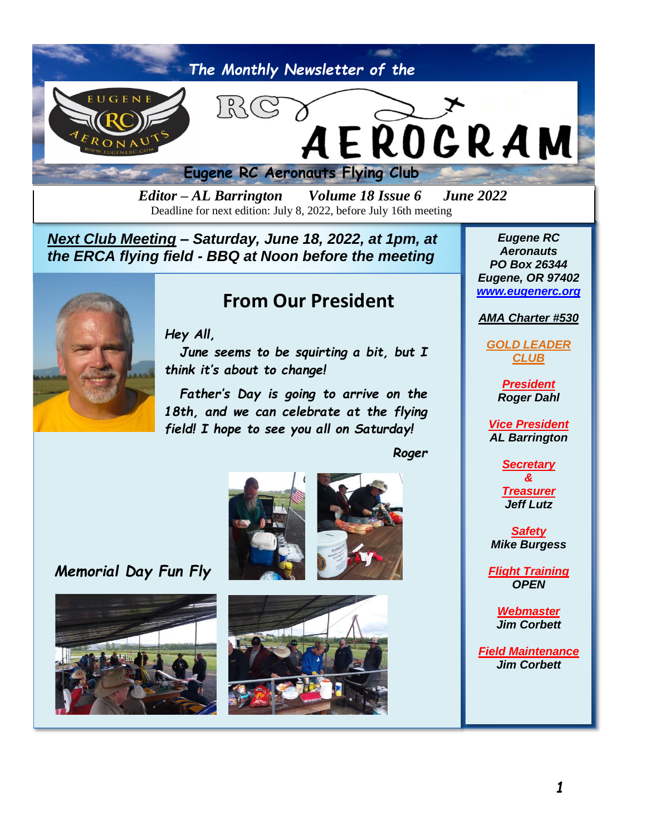

*Editor – AL Barrington Volume 18 Issue 6 June 2022* Deadline for next edition: July 8, 2022, before July 16th meeting

*Next Club Meeting – Saturday, June 18, 2022, at 1pm, at the ERCA flying field - BBQ at Noon before the meeting*



### **From Our President**

*Hey All,*

*June seems to be squirting a bit, but I think it's about to change!*

*Father's Day is going to arrive on the 18th, and we can celebrate at the flying field! I hope to see you all on Saturday!*

*Roger*

 *Memorial Day Fun Fly*









*Eugene RC Aeronauts PO Box 26344 Eugene, OR 97402 [www.eugenerc.org](http://www.eugenerc.org/)*

#### *AMA Charter #530*

*GOLD LEADER CLUB*

> *President Roger Dahl*

*Vice President AL Barrington*

> *Secretary &*

> *Treasurer Jeff Lutz*

*Safety Mike Burgess*

*Flight Training OPEN*

> *Webmaster Jim Corbett*

*Field Maintenance Jim Corbett*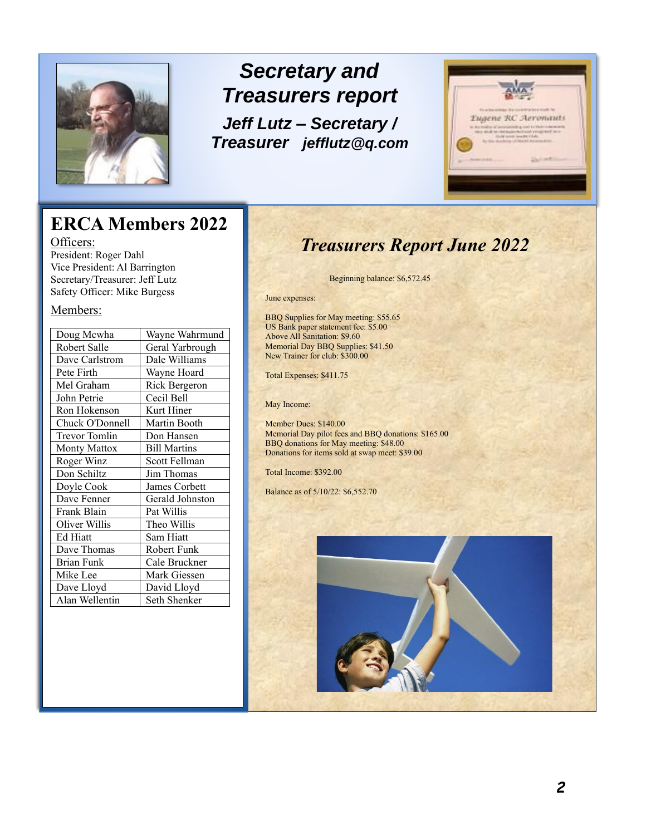

# *Secretary and Treasurers report Jeff Lutz – Secretary / Treasurer [jefflutz@q.com](mailto:jefflutz@q.com)*



# **ERCA Members 2022**

Officers: President: Roger Dahl Vice President: Al Barrington Secretary/Treasurer: Jeff Lutz Safety Officer: Mike Burgess

#### Members:

| Wayne Wahrmund      |
|---------------------|
| Geral Yarbrough     |
| Dale Williams       |
| Wayne Hoard         |
| Rick Bergeron       |
| Cecil Bell          |
| Kurt Hiner          |
| Martin Booth        |
| Don Hansen          |
| <b>Bill Martins</b> |
| Scott Fellman       |
| Jim Thomas          |
| James Corbett       |
| Gerald Johnston     |
| Pat Willis          |
| Theo Willis         |
| Sam Hiatt           |
| Robert Funk         |
| Cale Bruckner       |
| Mark Giessen        |
| David Lloyd         |
| Seth Shenker        |
|                     |

## *Treasurers Report June 2022*

Beginning balance: \$6,572.45

June expenses:

BBQ Supplies for May meeting: \$55.65 US Bank paper statement fee: \$5.00 Above All Sanitation: \$9.60 Memorial Day BBQ Supplies: \$41.50 New Trainer for club: \$300.00

Total Expenses: \$411.75

May Income:

Member Dues: \$140.00 Memorial Day pilot fees and BBQ donations: \$165.00 BBQ donations for May meeting: \$48.00 Donations for items sold at swap meet: \$39.00

Total Income: \$392.00

Balance as of 5/10/22: \$6,552.70